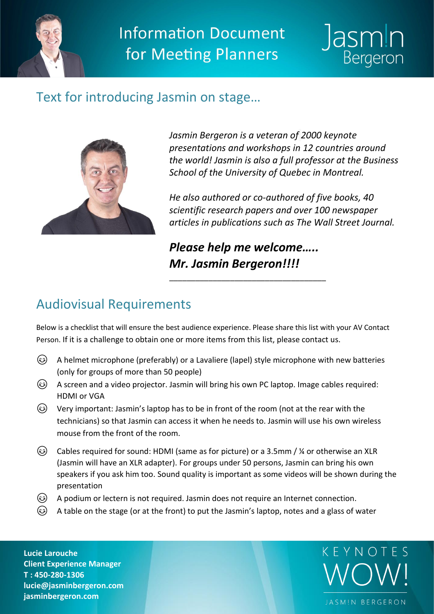

**Information Document** for Meeting Planners



### Text for introducing Jasmin on stage…



*Jasmin Bergeron is a veteran of 2000 keynote presentations and workshops in 12 countries around the world! Jasmin is also a full professor at the Business School of the University of Quebec in Montreal.* 

*He also authored or co-authored of five books, 40 scientific research papers and over 100 newspaper articles in publications such as The Wall Street Journal.*

*Please help me welcome….. Mr. Jasmin Bergeron!!!!*

\_\_\_\_\_\_\_\_\_\_\_\_\_\_\_\_\_\_\_\_\_\_\_\_\_\_\_\_\_\_\_\_\_\_\_\_

# Audiovisual Requirements

Below is a checklist that will ensure the best audience experience. Please share this list with your AV Contact Person. If it is a challenge to obtain one or more items from this list, please contact us.

- A helmet microphone (preferably) or a Lavaliere (lapel) style microphone with new batteries (only for groups of more than 50 people)
- A screen and a video projector. Jasmin will bring his own PC laptop. Image cables required: HDMI or VGA
- Very important: Jasmin's laptop has to be in front of the room (not at the rear with the technicians) so that Jasmin can access it when he needs to. Jasmin will use his own wireless mouse from the front of the room.
- Cables required for sound: HDMI (same as for picture) or a 3.5mm / ¼ or otherwise an XLR (Jasmin will have an XLR adapter). For groups under 50 persons, Jasmin can bring his own speakers if you ask him too. Sound quality is important as some videos will be shown during the presentation
- A podium or lectern is not required. Jasmin does not require an Internet connection.
- A table on the stage (or at the front) to put the Jasmin's laptop, notes and a glass of water

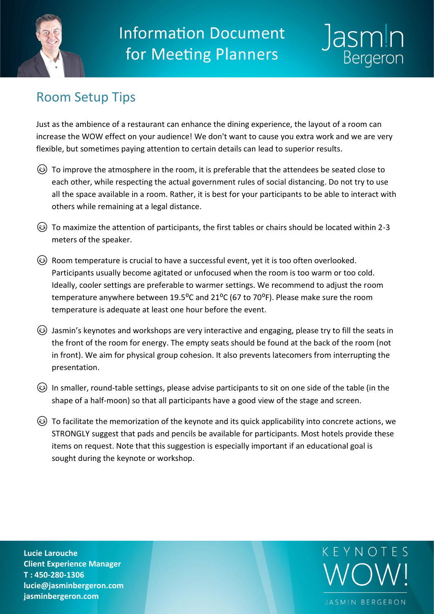

**Information Document** for Meeting Planners



## Room Setup Tips

Just as the ambience of a restaurant can enhance the dining experience, the layout of a room can increase the WOW effect on your audience! We don't want to cause you extra work and we are very flexible, but sometimes paying attention to certain details can lead to superior results.

- To improve the atmosphere in the room, it is preferable that the attendees be seated close to each other, while respecting the actual government rules of social distancing. Do not try to use all the space available in a room. Rather, it is best for your participants to be able to interact with others while remaining at a legal distance.
- $\circled{c}$  To maximize the attention of participants, the first tables or chairs should be located within 2-3 meters of the speaker.
- Room temperature is crucial to have a successful event, yet it is too often overlooked. Participants usually become agitated or unfocused when the room is too warm or too cold. Ideally, cooler settings are preferable to warmer settings. We recommend to adjust the room temperature anywhere between 19.5 $^{\circ}$ C and 21 $^{\circ}$ C (67 to 70 $^{\circ}$ F). Please make sure the room temperature is adequate at least one hour before the event.
- Jasmin's keynotes and workshops are very interactive and engaging, please try to fill the seats in the front of the room for energy. The empty seats should be found at the back of the room (not in front). We aim for physical group cohesion. It also prevents latecomers from interrupting the presentation.
- In smaller, round-table settings, please advise participants to sit on one side of the table (in the shape of a half-moon) so that all participants have a good view of the stage and screen.
- To facilitate the memorization of the keynote and its quick applicability into concrete actions, we STRONGLY suggest that pads and pencils be available for participants. Most hotels provide these items on request. Note that this suggestion is especially important if an educational goal is sought during the keynote or workshop.

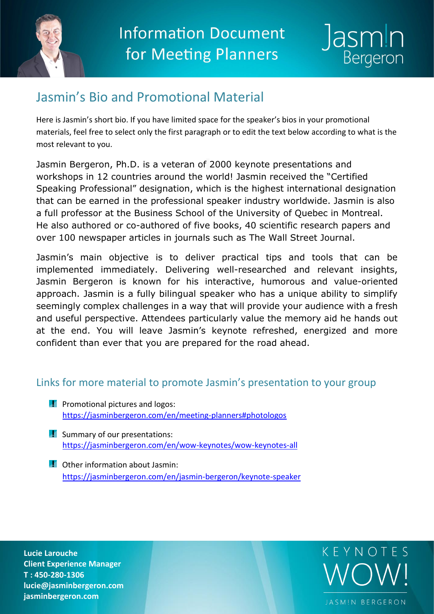



## Jasmin's Bio and Promotional Material

Here is Jasmin's short bio. If you have limited space for the speaker's bios in your promotional materials, feel free to select only the first paragraph or to edit the text below according to what is the most relevant to you.

Jasmin Bergeron, Ph.D. is a veteran of 2000 keynote presentations and workshops in 12 countries around the world! Jasmin received the "Certified Speaking Professional" designation, which is the highest international designation that can be earned in the professional speaker industry worldwide. Jasmin is also a full professor at the Business School of the University of Quebec in Montreal. He also authored or co-authored of five books, 40 scientific research papers and over 100 newspaper articles in journals such as The Wall Street Journal.

Jasmin's main objective is to deliver practical tips and tools that can be implemented immediately. Delivering well-researched and relevant insights, Jasmin Bergeron is known for his interactive, humorous and value-oriented approach. Jasmin is a fully bilingual speaker who has a unique ability to simplify seemingly complex challenges in a way that will provide your audience with a fresh and useful perspective. Attendees particularly value the memory aid he hands out at the end. You will leave Jasmin's keynote refreshed, energized and more confident than ever that you are prepared for the road ahead.

### Links for more material to promote Jasmin's presentation to your group

- **Promotional pictures and logos:** <https://jasminbergeron.com/en/meeting-planners#photologos>
- **F** Summary of our presentations: <https://jasminbergeron.com/en/wow-keynotes/wow-keynotes-all>
- **C** Other information about Jasmin: <https://jasminbergeron.com/en/jasmin-bergeron/keynote-speaker>